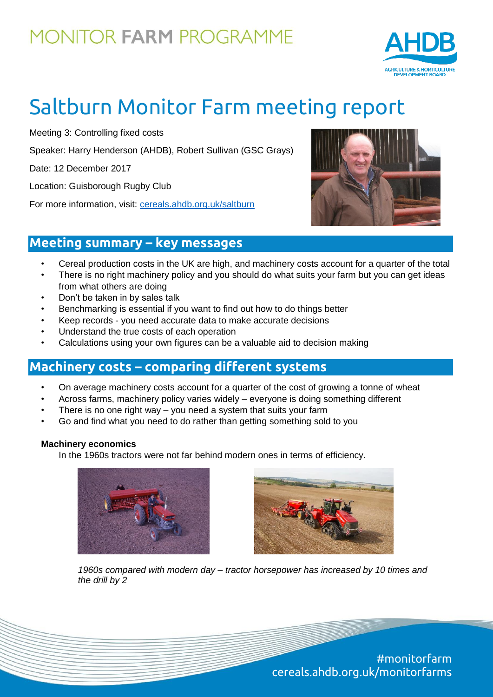

# Saltburn Monitor Farm meeting report

Meeting 3: Controlling fixed costs

Speaker: Harry Henderson (AHDB), Robert Sullivan (GSC Grays)

Date: 12 December 2017

Location: Guisborough Rugby Club

For more information, visit: [cereals.ahdb.org.uk/saltburn](https://cereals.ahdb.org.uk/get-involved/monitorfarms/saltburn-monitor-farm.aspx)



### **Meeting summary – key messages**

- Cereal production costs in the UK are high, and machinery costs account for a quarter of the total
- There is no right machinery policy and you should do what suits your farm but you can get ideas from what others are doing
- Don't be taken in by sales talk
- Benchmarking is essential if you want to find out how to do things better
- Keep records you need accurate data to make accurate decisions
- Understand the true costs of each operation
- Calculations using your own figures can be a valuable aid to decision making

### **Machinery costs – comparing different systems**

- On average machinery costs account for a quarter of the cost of growing a tonne of wheat
- Across farms, machinery policy varies widely everyone is doing something different
- There is no one right way  $-$  you need a system that suits your farm
- Go and find what you need to do rather than getting something sold to you

#### **Machinery economics**

In the 1960s tractors were not far behind modern ones in terms of efficiency.





*1960s compared with modern day – tractor horsepower has increased by 10 times and the drill by 2*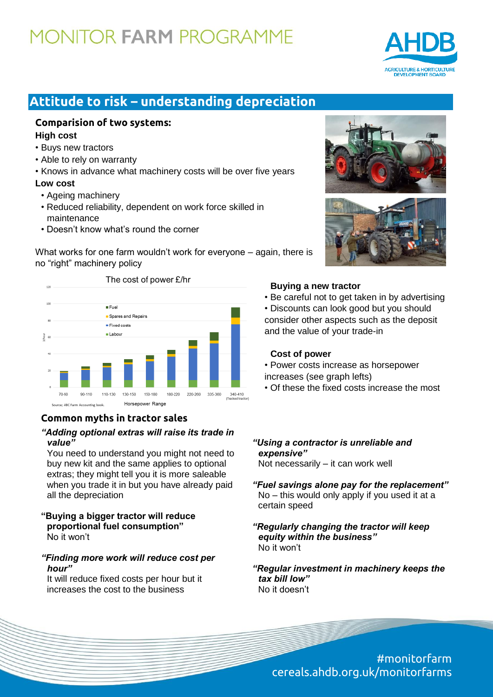

### **Attitude to risk – understanding depreciation**

#### **Comparision of two systems: High cost**

- Buys new tractors
- Able to rely on warranty
- Knows in advance what machinery costs will be over five years

#### **Low cost**

- Ageing machinery
- Reduced reliability, dependent on work force skilled in maintenance
- Doesn't know what's round the corner

What works for one farm wouldn't work for everyone – again, there is no "right" machinery policy



#### **Common myths in tractor sales**

#### *"Adding optional extras will raise its trade in value"*

You need to understand you might not need to buy new kit and the same applies to optional extras; they might tell you it is more saleable when you trade it in but you have already paid all the depreciation

#### **"Buying a bigger tractor will reduce proportional fuel consumption"** No it won't

#### *"Finding more work will reduce cost per hour"*

It will reduce fixed costs per hour but it increases the cost to the business





#### **Buying a new tractor**

• Be careful not to get taken in by advertising

• Discounts can look good but you should consider other aspects such as the deposit and the value of your trade-in

#### **Cost of power**

- Power costs increase as horsepower
- increases (see graph lefts)
- Of these the fixed costs increase the most

#### *"Using a contractor is unreliable and expensive"*

Not necessarily – it can work well

- *"Fuel savings alone pay for the replacement"* No – this would only apply if you used it at a certain speed
- *"Regularly changing the tractor will keep equity within the business"* No it won't

*"Regular investment in machinery keeps the tax bill low"* No it doesn't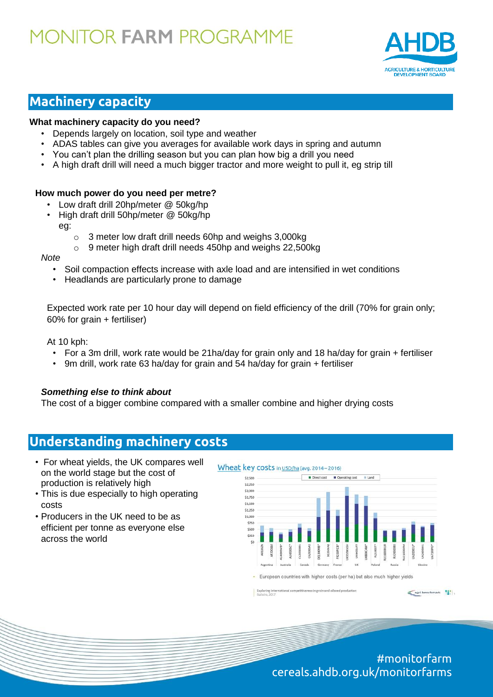

## **Machinery capacity**

#### **What machinery capacity do you need?**

- Depends largely on location, soil type and weather
- ADAS tables can give you averages for available work days in spring and autumn
- You can't plan the drilling season but you can plan how big a drill you need
- A high draft drill will need a much bigger tractor and more weight to pull it, eg strip till

#### **How much power do you need per metre?**

- Low draft drill 20hp/meter @ 50kg/hp
- High draft drill 50hp/meter @ 50kg/hp eg:
	- o 3 meter low draft drill needs 60hp and weighs 3,000kg
	- o 9 meter high draft drill needs 450hp and weighs 22,500kg

#### *Note*

- Soil compaction effects increase with axle load and are intensified in wet conditions
- Headlands are particularly prone to damage

Expected work rate per 10 hour day will depend on field efficiency of the drill (70% for grain only; 60% for grain + fertiliser)

At 10 kph:

- For a 3m drill, work rate would be 21ha/day for grain only and 18 ha/day for grain + fertiliser
- 9m drill, work rate 63 ha/day for grain and 54 ha/day for grain + fertiliser

#### *Something else to think about*

The cost of a bigger combine compared with a smaller combine and higher drying costs

### **Understanding machinery costs**

- For wheat yields, the UK compares well on the world stage but the cost of production is relatively high
- This is due especially to high operating costs
- Producers in the UK need to be as efficient per tonne as everyone else across the world



Exploring inter vess in grain and oilseed produ

> #monitorfarm cereals.ahdb.org.uk/monitorfarms

agri benchmark [1]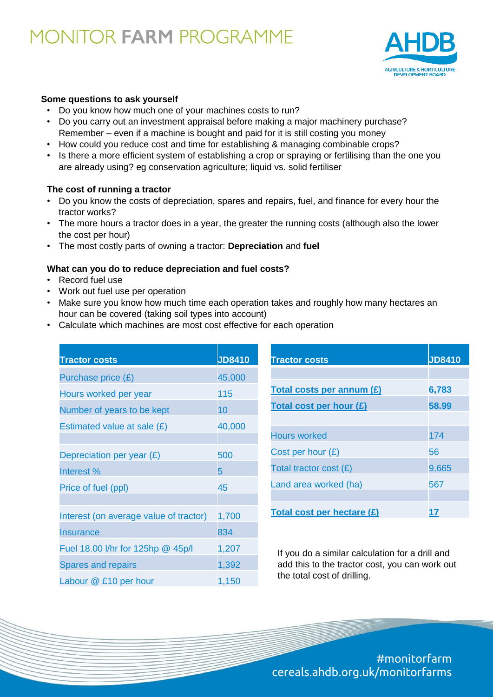

#### **Some questions to ask yourself**

- Do you know how much one of your machines costs to run?
- Do you carry out an investment appraisal before making a major machinery purchase? Remember – even if a machine is bought and paid for it is still costing you money
- How could you reduce cost and time for establishing & managing combinable crops?
- Is there a more efficient system of establishing a crop or spraying or fertilising than the one you are already using? eg conservation agriculture; liquid vs. solid fertiliser

#### **The cost of running a tractor**

- Do you know the costs of depreciation, spares and repairs, fuel, and finance for every hour the tractor works?
- The more hours a tractor does in a year, the greater the running costs (although also the lower the cost per hour)
- The most costly parts of owning a tractor: **Depreciation** and **fuel**

#### **What can you do to reduce depreciation and fuel costs?**

- Record fuel use
- Work out fuel use per operation
- Make sure you know how much time each operation takes and roughly how many hectares an hour can be covered (taking soil types into account)
- Calculate which machines are most cost effective for each operation

| <b>Tractor costs</b>                   | <b>JD8410</b> | <b>Tractor o</b>  |
|----------------------------------------|---------------|-------------------|
| Purchase price $(E)$                   | 45,000        |                   |
| Hours worked per year                  | 115           | <b>Total cos</b>  |
| Number of years to be kept             | 10            | <b>Total cos</b>  |
| Estimated value at sale $(E)$          | 40,000        | Hours wo          |
| Depreciation per year $(E)$            | 500           | Cost per          |
| Interest %                             | 5             | <b>Total trac</b> |
| Price of fuel (ppl)                    | 45            | Land area         |
| Interest (on average value of tractor) | 1,700         | <b>Total cos</b>  |
| <b>Insurance</b>                       | 834           |                   |
| Fuel 18.00 I/hr for 125hp @ 45p/l      | 1,207         | If you d          |
| <b>Spares and repairs</b>              | 1,392         | add this          |
| Labour @ £10 per hour                  | 1,150         | the tota          |

| <b>Tractor costs</b>       | <b>JD8410</b> |
|----------------------------|---------------|
|                            |               |
| Total costs per annum (£)  | 6,783         |
| Total cost per hour (£)    | 58.99         |
|                            |               |
| <b>Hours worked</b>        | 174           |
| Cost per hour $(E)$        | 56            |
| Total tractor cost $(E)$   | 9,665         |
| Land area worked (ha)      | 567           |
|                            |               |
| Total cost per hectare (£) |               |

Io a similar calculation for a drill and s to the tractor cost, you can work out al cost of drilling.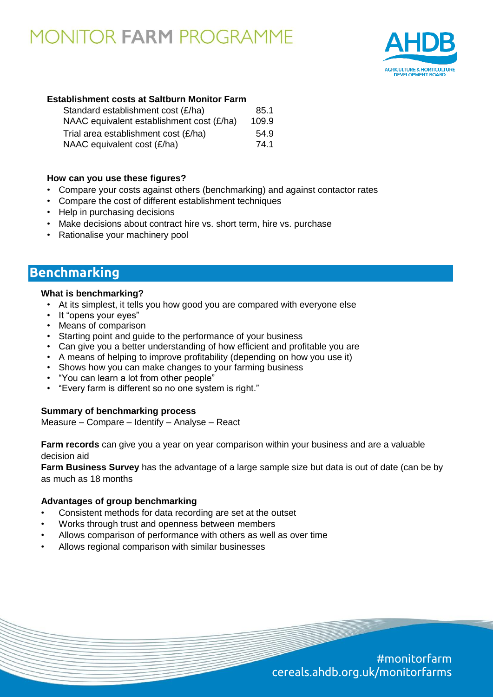

#### **Establishment costs at Saltburn Monitor Farm**

| Standard establishment cost (£/ha)        | 85.1  |
|-------------------------------------------|-------|
| NAAC equivalent establishment cost (£/ha) | 109.9 |
| Trial area establishment cost (£/ha)      | 54.9  |
| NAAC equivalent cost (£/ha)               | 74.1  |

#### **How can you use these figures?**

- Compare your costs against others (benchmarking) and against contactor rates
- Compare the cost of different establishment techniques
- Help in purchasing decisions
- Make decisions about contract hire vs. short term, hire vs. purchase
- Rationalise your machinery pool

### **Benchmarking**

#### **What is benchmarking?**

- At its simplest, it tells you how good you are compared with everyone else
- It "opens your eyes"
- Means of comparison
- Starting point and guide to the performance of your business
- Can give you a better understanding of how efficient and profitable you are
- A means of helping to improve profitability (depending on how you use it)
- Shows how you can make changes to your farming business
- "You can learn a lot from other people"
- "Every farm is different so no one system is right."

#### **Summary of benchmarking process**

Measure – Compare – Identify – Analyse – React

**Farm records** can give you a year on year comparison within your business and are a valuable decision aid

**Farm Business Survey** has the advantage of a large sample size but data is out of date (can be by as much as 18 months

#### **Advantages of group benchmarking**

- Consistent methods for data recording are set at the outset
- Works through trust and openness between members
- Allows comparison of performance with others as well as over time
- Allows regional comparison with similar businesses